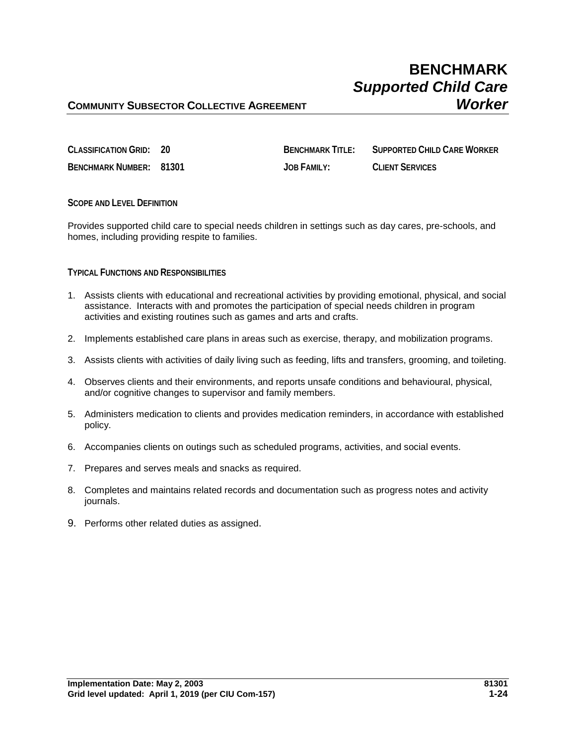# **BENCHMARK** *Supported Child Care*

## **COMMUNITY SUBSECTOR COLLECTIVE AGREEMENT** *Worker*

| <b>CLASSIFICATION GRID: 20</b> | <b>BENCHMARK TITI F:</b> | SUPPORTED CHILD CARE WORKER |
|--------------------------------|--------------------------|-----------------------------|
| BENCHMARK NUMBER: 81301        | JOB FAMILY:              | <b>CLIENT SERVICES</b>      |

**SCOPE AND LEVEL DEFINITION**

Provides supported child care to special needs children in settings such as day cares, pre-schools, and homes, including providing respite to families.

#### **TYPICAL FUNCTIONS AND RESPONSIBILITIES**

- 1. Assists clients with educational and recreational activities by providing emotional, physical, and social assistance. Interacts with and promotes the participation of special needs children in program activities and existing routines such as games and arts and crafts.
- 2. Implements established care plans in areas such as exercise, therapy, and mobilization programs.
- 3. Assists clients with activities of daily living such as feeding, lifts and transfers, grooming, and toileting.
- 4. Observes clients and their environments, and reports unsafe conditions and behavioural, physical, and/or cognitive changes to supervisor and family members.
- 5. Administers medication to clients and provides medication reminders, in accordance with established policy.
- 6. Accompanies clients on outings such as scheduled programs, activities, and social events.
- 7. Prepares and serves meals and snacks as required.
- 8. Completes and maintains related records and documentation such as progress notes and activity journals.
- 9. Performs other related duties as assigned.